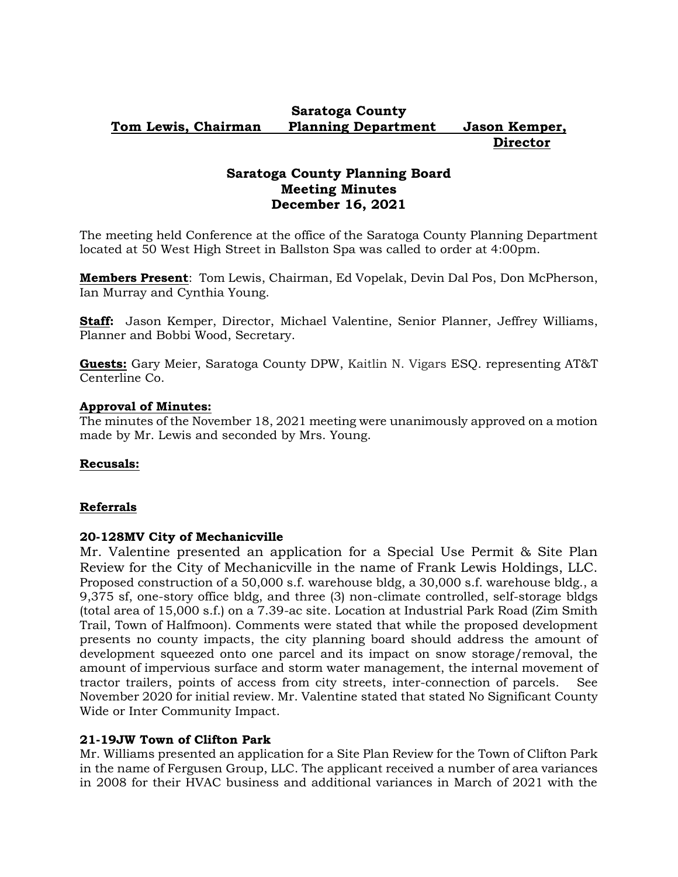#### **Saratoga County Tom Lewis, Chairman Planning Department Jason Kemper, Director**

# **Saratoga County Planning Board Meeting Minutes December 16, 2021**

The meeting held Conference at the office of the Saratoga County Planning Department located at 50 West High Street in Ballston Spa was called to order at 4:00pm.

**Members Present**: Tom Lewis, Chairman, Ed Vopelak, Devin Dal Pos, Don McPherson, Ian Murray and Cynthia Young.

**Staff:** Jason Kemper, Director, Michael Valentine, Senior Planner, Jeffrey Williams, Planner and Bobbi Wood, Secretary.

**Guests:** Gary Meier, Saratoga County DPW, Kaitlin N. Vigars ESQ. representing AT&T Centerline Co.

#### **Approval of Minutes:**

The minutes of the November 18, 2021 meeting were unanimously approved on a motion made by Mr. Lewis and seconded by Mrs. Young.

## **Recusals:**

## **Referrals**

## **20-128MV City of Mechanicville**

Mr. Valentine presented an application for a Special Use Permit & Site Plan Review for the City of Mechanicville in the name of Frank Lewis Holdings, LLC. Proposed construction of a 50,000 s.f. warehouse bldg, a 30,000 s.f. warehouse bldg., a 9,375 sf, one-story office bldg, and three (3) non-climate controlled, self-storage bldgs (total area of 15,000 s.f.) on a 7.39-ac site. Location at Industrial Park Road (Zim Smith Trail, Town of Halfmoon). Comments were stated that while the proposed development presents no county impacts, the city planning board should address the amount of development squeezed onto one parcel and its impact on snow storage/removal, the amount of impervious surface and storm water management, the internal movement of tractor trailers, points of access from city streets, inter-connection of parcels. See November 2020 for initial review. Mr. Valentine stated that stated No Significant County Wide or Inter Community Impact.

## **21-19JW Town of Clifton Park**

Mr. Williams presented an application for a Site Plan Review for the Town of Clifton Park in the name of Fergusen Group, LLC. The applicant received a number of area variances in 2008 for their HVAC business and additional variances in March of 2021 with the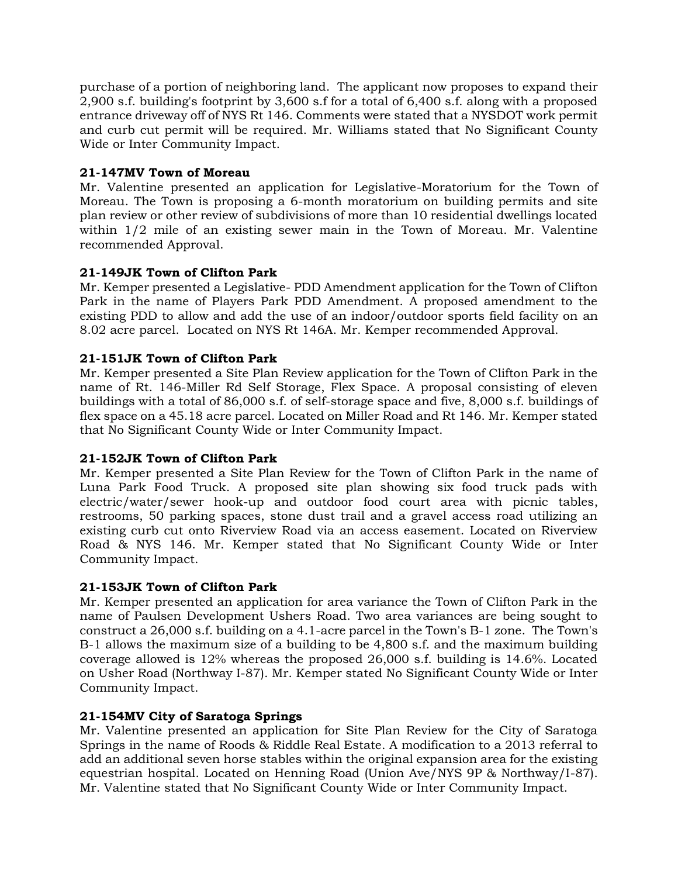purchase of a portion of neighboring land. The applicant now proposes to expand their 2,900 s.f. building's footprint by 3,600 s.f for a total of 6,400 s.f. along with a proposed entrance driveway off of NYS Rt 146. Comments were stated that a NYSDOT work permit and curb cut permit will be required. Mr. Williams stated that No Significant County Wide or Inter Community Impact.

## **21-147MV Town of Moreau**

Mr. Valentine presented an application for Legislative-Moratorium for the Town of Moreau. The Town is proposing a 6-month moratorium on building permits and site plan review or other review of subdivisions of more than 10 residential dwellings located within 1/2 mile of an existing sewer main in the Town of Moreau. Mr. Valentine recommended Approval.

## **21-149JK Town of Clifton Park**

Mr. Kemper presented a Legislative- PDD Amendment application for the Town of Clifton Park in the name of Players Park PDD Amendment. A proposed amendment to the existing PDD to allow and add the use of an indoor/outdoor sports field facility on an 8.02 acre parcel. Located on NYS Rt 146A. Mr. Kemper recommended Approval.

## **21-151JK Town of Clifton Park**

Mr. Kemper presented a Site Plan Review application for the Town of Clifton Park in the name of Rt. 146-Miller Rd Self Storage, Flex Space. A proposal consisting of eleven buildings with a total of 86,000 s.f. of self-storage space and five, 8,000 s.f. buildings of flex space on a 45.18 acre parcel. Located on Miller Road and Rt 146. Mr. Kemper stated that No Significant County Wide or Inter Community Impact.

# **21-152JK Town of Clifton Park**

Mr. Kemper presented a Site Plan Review for the Town of Clifton Park in the name of Luna Park Food Truck. A proposed site plan showing six food truck pads with electric/water/sewer hook-up and outdoor food court area with picnic tables, restrooms, 50 parking spaces, stone dust trail and a gravel access road utilizing an existing curb cut onto Riverview Road via an access easement. Located on Riverview Road & NYS 146. Mr. Kemper stated that No Significant County Wide or Inter Community Impact.

# **21-153JK Town of Clifton Park**

Mr. Kemper presented an application for area variance the Town of Clifton Park in the name of Paulsen Development Ushers Road. Two area variances are being sought to construct a 26,000 s.f. building on a 4.1-acre parcel in the Town's B-1 zone. The Town's B-1 allows the maximum size of a building to be 4,800 s.f. and the maximum building coverage allowed is 12% whereas the proposed 26,000 s.f. building is 14.6%. Located on Usher Road (Northway I-87). Mr. Kemper stated No Significant County Wide or Inter Community Impact.

## **21-154MV City of Saratoga Springs**

Mr. Valentine presented an application for Site Plan Review for the City of Saratoga Springs in the name of Roods & Riddle Real Estate. A modification to a 2013 referral to add an additional seven horse stables within the original expansion area for the existing equestrian hospital. Located on Henning Road (Union Ave/NYS 9P & Northway/I-87). Mr. Valentine stated that No Significant County Wide or Inter Community Impact.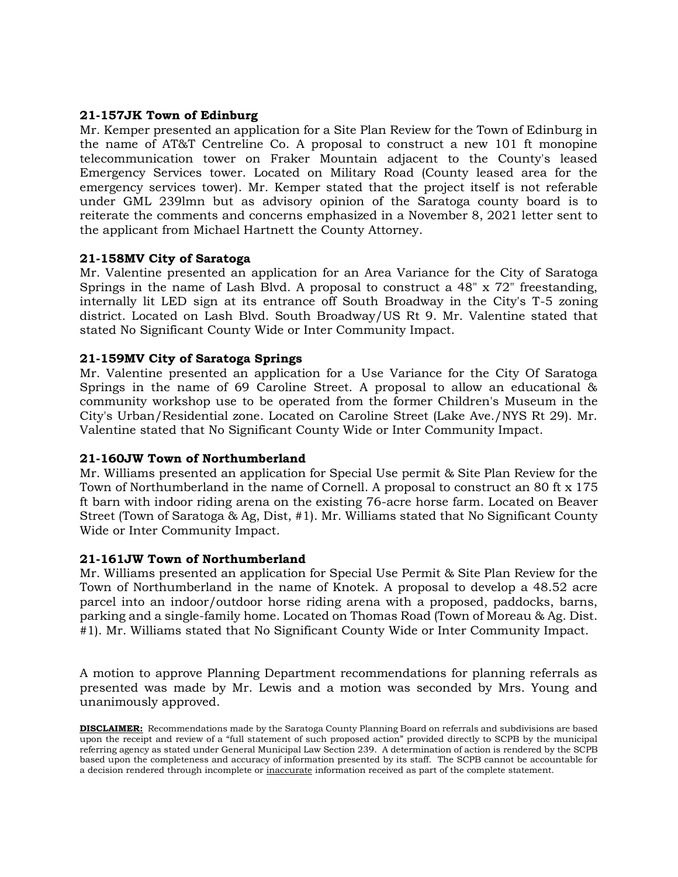## **21-157JK Town of Edinburg**

Mr. Kemper presented an application for a Site Plan Review for the Town of Edinburg in the name of AT&T Centreline Co. A proposal to construct a new 101 ft monopine telecommunication tower on Fraker Mountain adjacent to the County's leased Emergency Services tower. Located on Military Road (County leased area for the emergency services tower). Mr. Kemper stated that the project itself is not referable under GML 239lmn but as advisory opinion of the Saratoga county board is to reiterate the comments and concerns emphasized in a November 8, 2021 letter sent to the applicant from Michael Hartnett the County Attorney.

#### **21-158MV City of Saratoga**

Mr. Valentine presented an application for an Area Variance for the City of Saratoga Springs in the name of Lash Blvd. A proposal to construct a 48" x 72" freestanding, internally lit LED sign at its entrance off South Broadway in the City's T-5 zoning district. Located on Lash Blvd. South Broadway/US Rt 9. Mr. Valentine stated that stated No Significant County Wide or Inter Community Impact.

#### **21-159MV City of Saratoga Springs**

Mr. Valentine presented an application for a Use Variance for the City Of Saratoga Springs in the name of 69 Caroline Street. A proposal to allow an educational & community workshop use to be operated from the former Children's Museum in the City's Urban/Residential zone. Located on Caroline Street (Lake Ave./NYS Rt 29). Mr. Valentine stated that No Significant County Wide or Inter Community Impact.

## **21-160JW Town of Northumberland**

Mr. Williams presented an application for Special Use permit & Site Plan Review for the Town of Northumberland in the name of Cornell. A proposal to construct an 80 ft x 175 ft barn with indoor riding arena on the existing 76-acre horse farm. Located on Beaver Street (Town of Saratoga & Ag, Dist, #1). Mr. Williams stated that No Significant County Wide or Inter Community Impact.

#### **21-161JW Town of Northumberland**

Mr. Williams presented an application for Special Use Permit & Site Plan Review for the Town of Northumberland in the name of Knotek. A proposal to develop a 48.52 acre parcel into an indoor/outdoor horse riding arena with a proposed, paddocks, barns, parking and a single-family home. Located on Thomas Road (Town of Moreau & Ag. Dist. #1). Mr. Williams stated that No Significant County Wide or Inter Community Impact.

A motion to approve Planning Department recommendations for planning referrals as presented was made by Mr. Lewis and a motion was seconded by Mrs. Young and unanimously approved.

**DISCLAIMER:** Recommendations made by the Saratoga County Planning Board on referrals and subdivisions are based upon the receipt and review of a "full statement of such proposed action" provided directly to SCPB by the municipal referring agency as stated under General Municipal Law Section 239. A determination of action is rendered by the SCPB based upon the completeness and accuracy of information presented by its staff. The SCPB cannot be accountable for a decision rendered through incomplete or inaccurate information received as part of the complete statement.